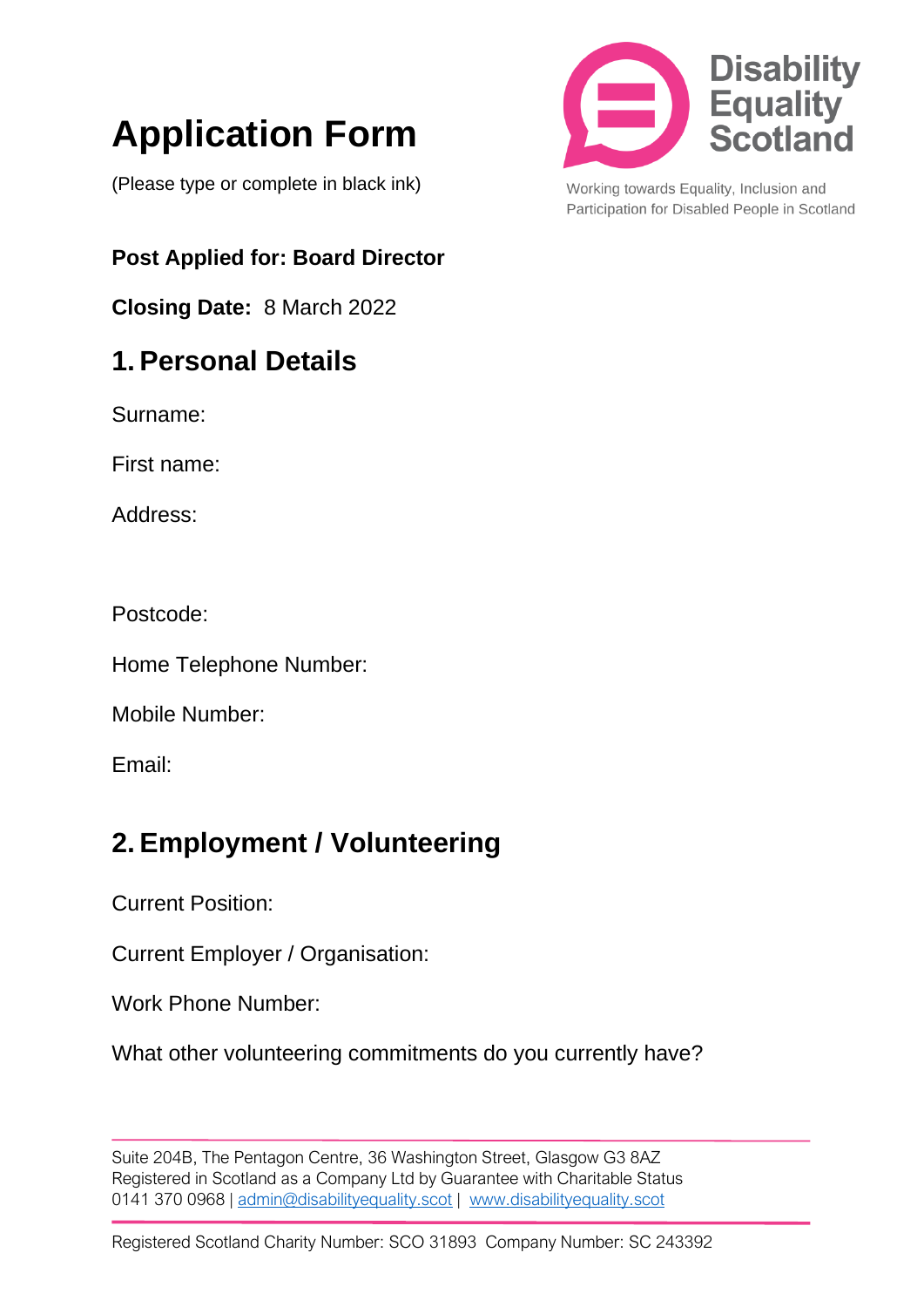# **Application Form**

(Please type or complete in black ink)

**Post Applied for: Board Director**

**Closing Date:** 8 March 2022

## **1. Personal Details**

Surname:

First name:

Address:

Postcode:

Home Telephone Number:

Mobile Number:

Email:

# **2. Employment / Volunteering**

Current Position:

Current Employer / Organisation:

Work Phone Number:

What other volunteering commitments do you currently have?

Suite 204B, The Pentagon Centre, 36 Washington Street, Glasgow G3 8AZ Registered in Scotland as a Company Ltd by Guarantee with Charitable Status 0141 370 0968 | [admin@disabilityequality.scot](mailto:admin@disabilityequality.scot) | [www.disabilityequality.scot](http://www.disabilityequality.scot/)



Working towards Equality, Inclusion and Participation for Disabled People in Scotland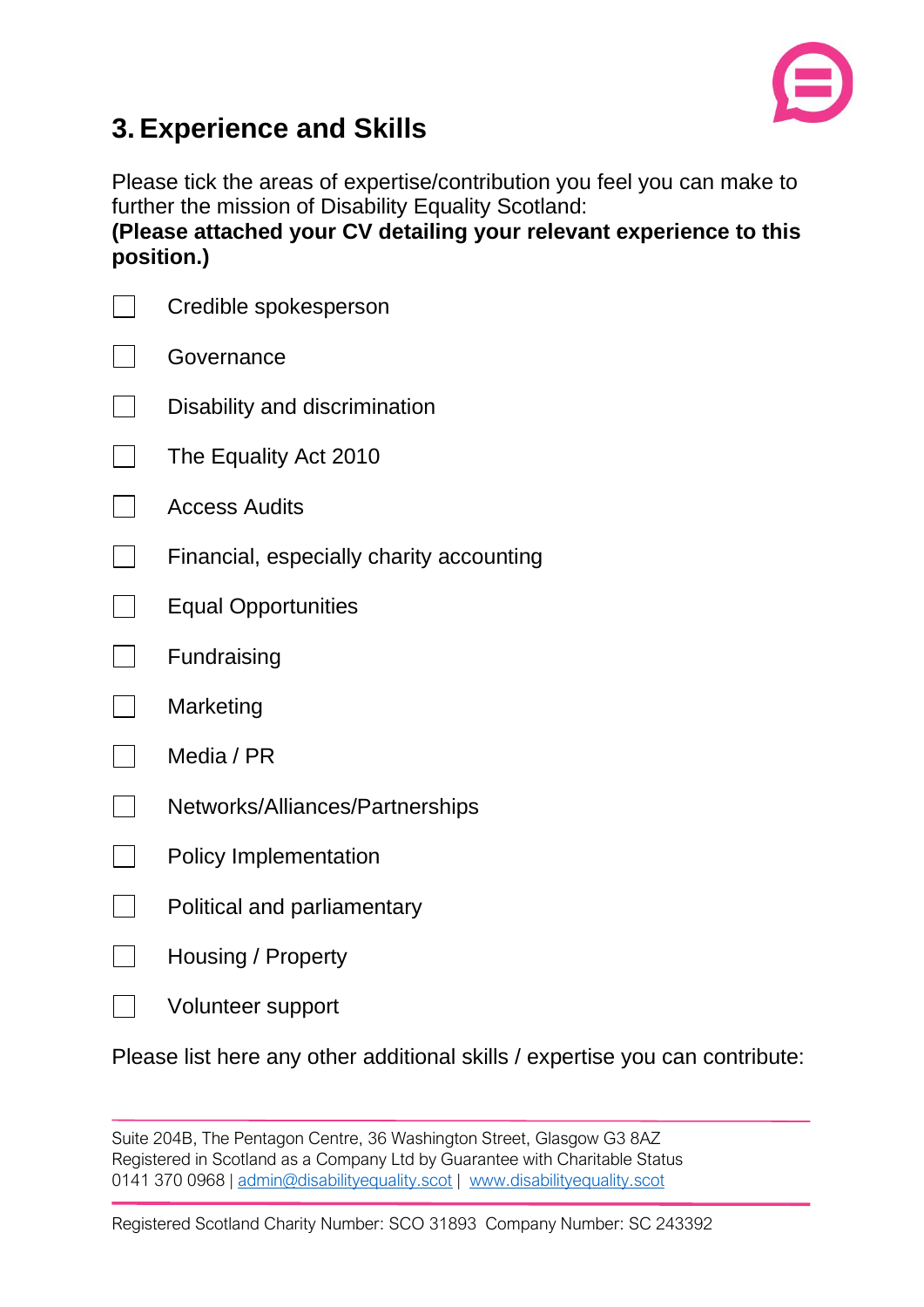

## **3. Experience and Skills**

Please tick the areas of expertise/contribution you feel you can make to further the mission of Disability Equality Scotland: **(Please attached your CV detailing your relevant experience to this position.)**

| Credible spokesperson                    |  |  |
|------------------------------------------|--|--|
| Governance                               |  |  |
| Disability and discrimination            |  |  |
| The Equality Act 2010                    |  |  |
| <b>Access Audits</b>                     |  |  |
| Financial, especially charity accounting |  |  |
| <b>Equal Opportunities</b>               |  |  |
| Fundraising                              |  |  |
| Marketing                                |  |  |
| Media / PR                               |  |  |
| Networks/Alliances/Partnerships          |  |  |
| <b>Policy Implementation</b>             |  |  |
| Political and parliamentary              |  |  |
| Housing / Property                       |  |  |
| Volunteer support                        |  |  |

Please list here any other additional skills / expertise you can contribute:

Suite 204B, The Pentagon Centre, 36 Washington Street, Glasgow G3 8AZ Registered in Scotland as a Company Ltd by Guarantee with Charitable Status 0141 370 0968 | [admin@disabilityequality.scot](mailto:admin@disabilityequality.scot) | [www.disabilityequality.scot](http://www.disabilityequality.scot/)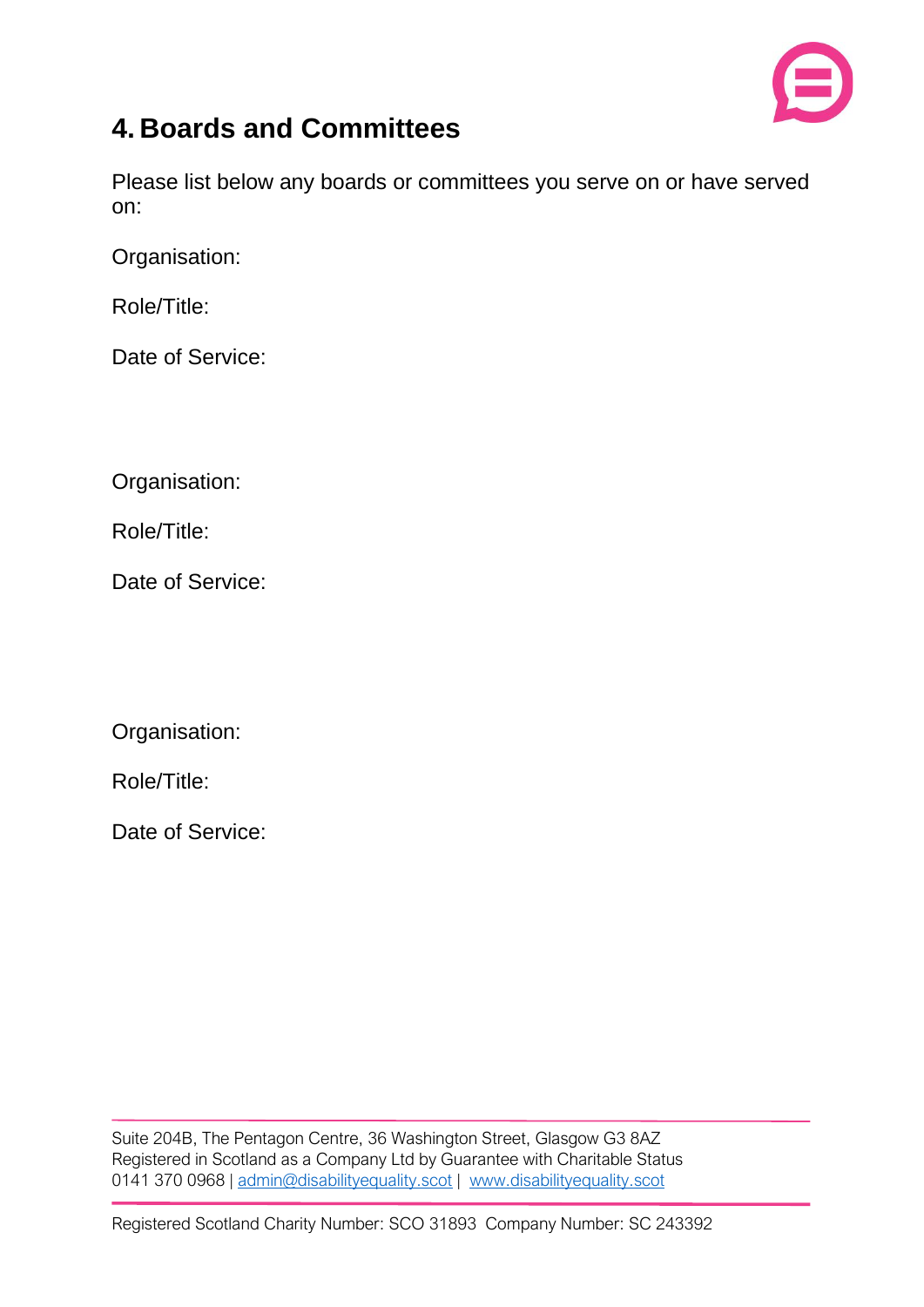

#### **4. Boards and Committees**

Please list below any boards or committees you serve on or have served on:

Organisation:

Role/Title:

Date of Service:

Organisation:

Role/Title:

Date of Service:

Organisation:

Role/Title:

Date of Service: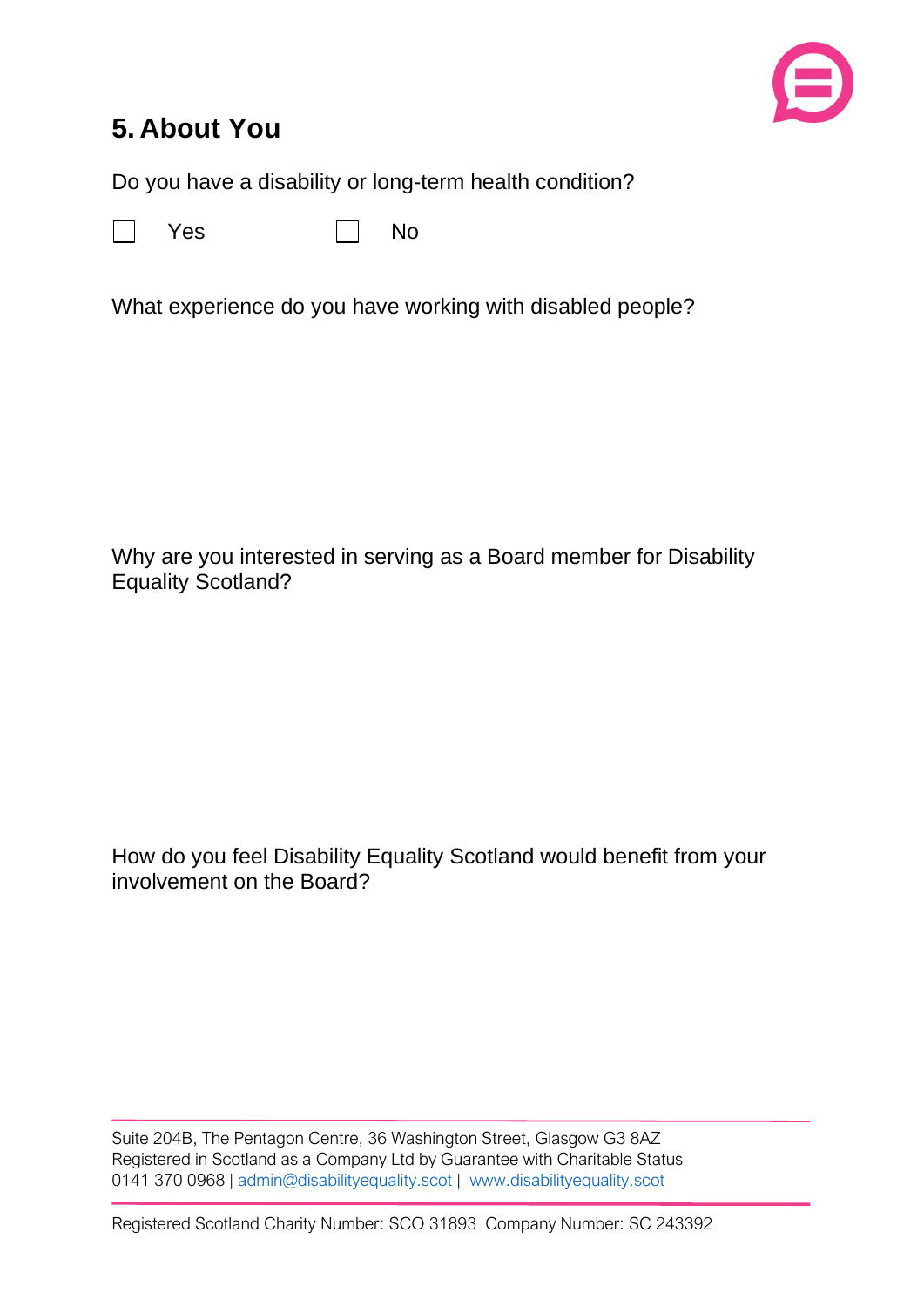

#### **5. About You**

Do you have a disability or long-term health condition?



 $Yes \t\t \Box No$ 

What experience do you have working with disabled people?

Why are you interested in serving as a Board member for Disability Equality Scotland?

How do you feel Disability Equality Scotland would benefit from your involvement on the Board?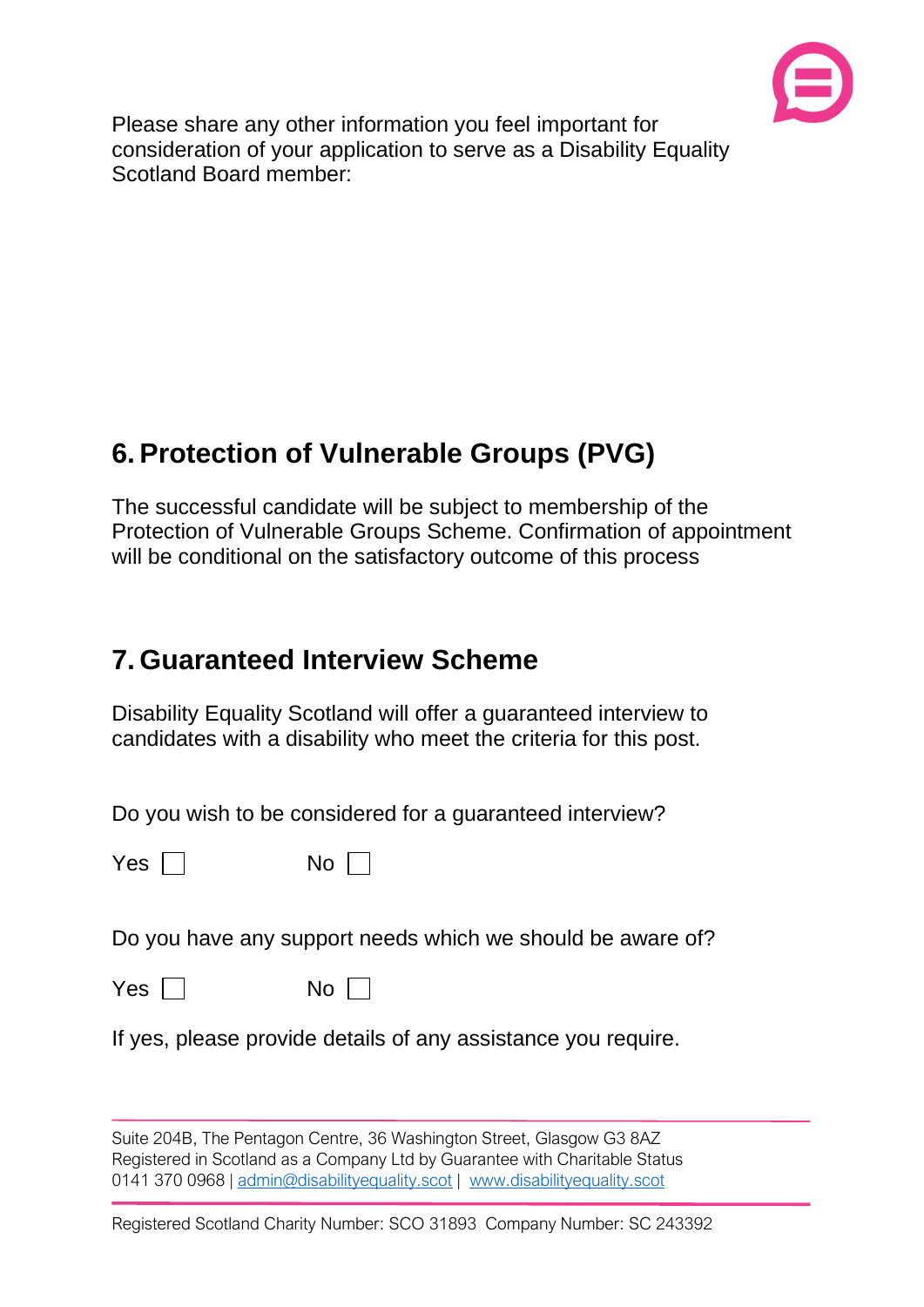

Please share any other information you feel important for consideration of your application to serve as a Disability Equality Scotland Board member:

### **6. Protection of Vulnerable Groups (PVG)**

The successful candidate will be subject to membership of the Protection of Vulnerable Groups Scheme. Confirmation of appointment will be conditional on the satisfactory outcome of this process

#### **7. Guaranteed Interview Scheme**

Disability Equality Scotland will offer a guaranteed interview to candidates with a disability who meet the criteria for this post.

Do you wish to be considered for a guaranteed interview?

 $Yes \Box$  No  $\Box$ 

Do you have any support needs which we should be aware of?

 $Yes \Box$  No  $\Box$ 

If yes, please provide details of any assistance you require.